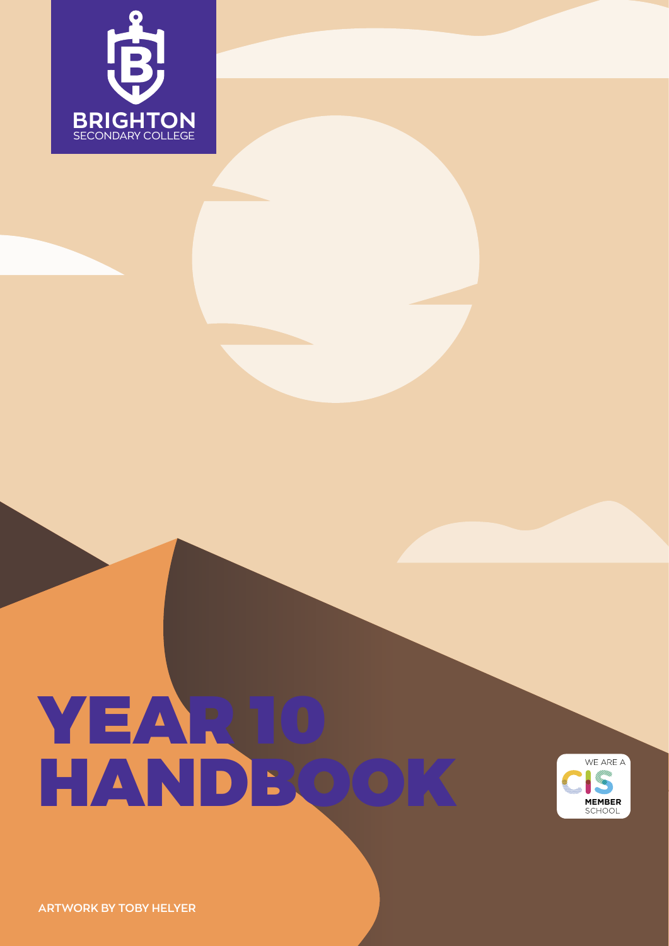

# YEAR 10 HANDBOO



**ARTWORK BY TOBY HELYER**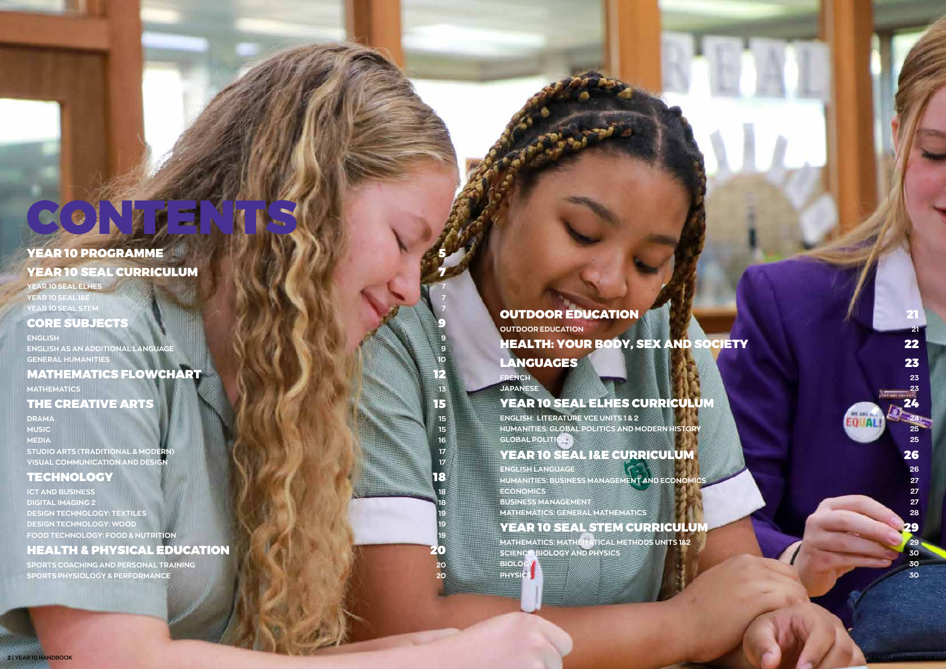# CONTE

# YEAR 10 PROGRAMME **[YEAR 10 SEAL CURRICULUM](#page-3-0)**

# **[YEAR 10 SEAL ELHES 7](#page-3-0)**

**[YEAR 10 SEAL I&E](#page-3-0) 7 [YEAR 10 SEAL STEM](#page-3-0) 7**

## **[CORE SUBJECTS](#page-4-0)**

**[ENGLISH](#page-4-0) 9 [ENGLISH AS AN ADDITIONAL LANGUAGE](#page-4-0) 9 [GENERAL HUMANITIES](#page-5-0) 10**

# [MATHEMATICS FLOWCHART](#page-6-0) **12** 12

**[MATHEMATICS](#page-6-0)** 13

# [THE CREATIVE ARTS](#page-7-0) **1999 15**

**[SPORTS COACHING AND PERSONAL TRAINING](#page-10-0) 20 [SPORTS PHYSIOLOGY & PERFORMANCE](#page-10-0) <b>20** 

# **[OUTDOOR EDUCATION](#page-10-0)**

**[DRAMA](#page-7-0) 15 [MUSIC](#page-7-0) 15 [MEDIA](#page-8-0) 16 [STUDIO ARTS \(TRADITIONAL & MODERN\)](#page-8-0) 17 [VISUAL COMMUNICATION AND DESIGN](#page-8-0) 17**

# [TECHNOLOGY](#page-9-0) 18

**[ICT AND BUSINESS](#page-9-0) 18 [DIGITAL IMAGING 2](#page-9-0) [DESIGN TECHNOLOGY: TEXTILES](#page-9-0) 19 [DESIGN TECHNOLOGY: WOOD](#page-9-0) 19 [FOOD TECHNOLOGY: FOOD & NUTRITION](#page-9-0) 19**

# [HEALTH & PHYSICAL EDUCATION](#page-10-0) 20

**[OUTDOOR EDUCATION](#page-10-0) 21**

**ENGLISH: LITERATURE VCE UNITS 1 & 2** 

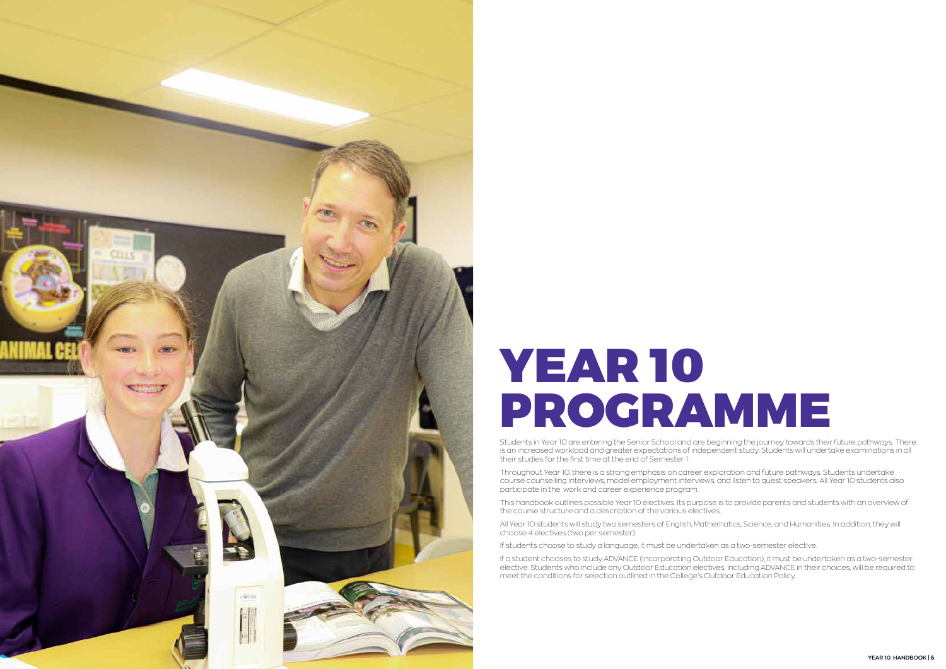<span id="page-2-0"></span>

# YEAR 10 PROGRAMME

Students in Year 10 are entering the Senior School and are beginning the journey towards their future pathways. There is an increased workload and greater expectations of independent study. Students will undertake examinations in all their studies for the first time at the end of Semester 1.

Throughout Year 10, there is a strong emphasis on career exploration and future pathways. Students undertake course counselling interviews, model employment interviews, and listen to quest speakers. All Year 10 students also participate in the work and career experience program.

This handbook outlines possible Year 10 electives. Its purpose is to provide parents and students with an overview of the course structure and a description of the various electives.

All Year 10 students will study two semesters of English, Mathematics, Science, and Humanities. In addition, they will choose 4 electives (two per semester).

If students choose to study a language, it must be undertaken as a two-semester elective.

If a student chooses to study ADVANCE (Incorporating Outdoor Education), it must be undertaken as a two-semester elective. Students who include any Outdoor Education electives, including ADVANCE in their choices, will be required to meet the conditions for selection outlined in the College's Outdoor Education Policy.

![](_page_2_Picture_8.jpeg)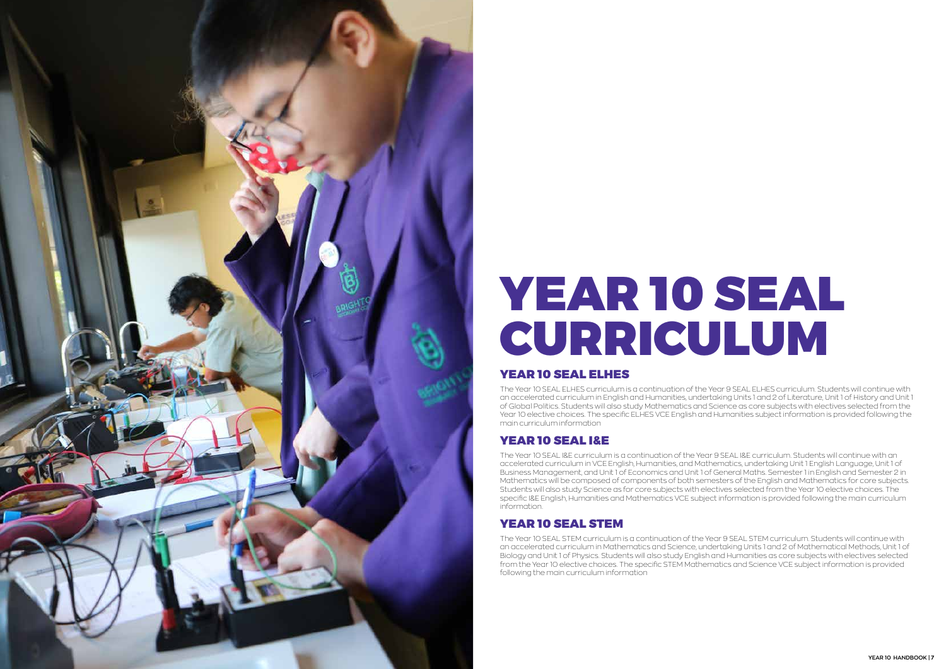<span id="page-3-0"></span>![](_page_3_Picture_0.jpeg)

# YEAR 10 SEAL CURRICULUM

# YEAR 10 SEAL ELHES

The Year 10 SEAL ELHES curriculum is a continuation of the Year 9 SEAL ELHES curriculum. Students will continue with an accelerated curriculum in English and Humanities, undertaking Units 1 and 2 of Literature, Unit 1 of History and Unit 1 of Global Politics. Students will also study Mathematics and Science as core subjects with electives selected from the Year 10 elective choices. The specific ELHES VCE English and Humanities subject information is provided following the main curriculum information

# YEAR 10 SEAL I&E

The Year 10 SEAL I&E curriculum is a continuation of the Year 9 SEAL I&E curriculum. Students will continue with an accelerated curriculum in VCE English, Humanities, and Mathematics, undertaking Unit 1 English Language, Unit 1 of Business Management, and Unit 1 of Economics and Unit 1 of General Maths. Semester 1 in English and Semester 2 in Mathematics will be composed of components of both semesters of the English and Mathematics for core subjects. Students will also study Science as for core subjects with electives selected from the Year 10 elective choices. The specific I&E English, Humanities and Mathematics VCE subject information is provided following the main curriculum information.

# YEAR 10 SEAL STEM

The Year 10 SEAL STEM curriculum is a continuation of the Year 9 SEAL STEM curriculum. Students will continue with an accelerated curriculum in Mathematics and Science, undertaking Units 1 and 2 of Mathematical Methods, Unit 1 of Biology and Unit 1 of Physics. Students will also study English and Humanities as core subjects with electives selected from the Year 10 elective choices. The specific STEM Mathematics and Science VCE subject information is provided following the main curriculum information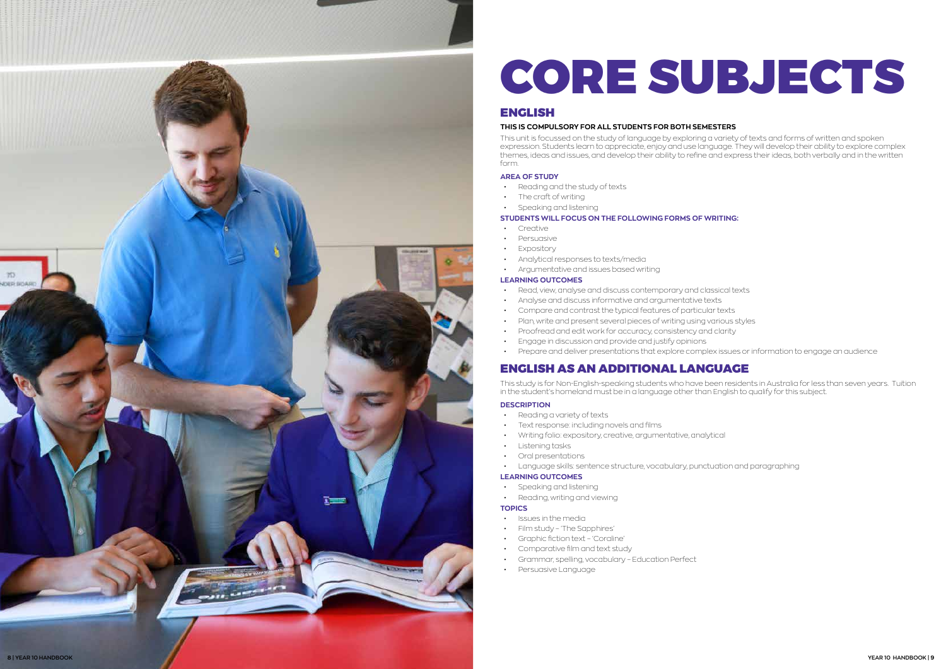# CORE SUBJECTS

# ENGLISH

#### **THIS IS COMPULSORY FOR ALL STUDENTS FOR BOTH SEMESTERS**

This unit is focussed on the study of language by exploring a variety of texts and forms of written and spoken expression. Students learn to appreciate, enjoy and use language. They will develop their ability to explore complex themes, ideas and issues, and develop their ability to refine and express their ideas, both verbally and in the written form.

#### **AREA OF STUDY**

- Reading and the study of texts
- The craft of writing
- Speaking and listening

#### **STUDENTS WILL FOCUS ON THE FOLLOWING FORMS OF WRITING:**

- Creative
- Persuasive
- Expository
- Analytical responses to texts/media
- Argumentative and issues based writing

#### **LEARNING OUTCOMES**

- Read, view, analyse and discuss contemporary and classical texts
- Analyse and discuss informative and argumentative texts
- Compare and contrast the typical features of particular texts
- Plan, write and present several pieces of writing using various styles
- Proofread and edit work for accuracy, consistency and clarity
- Engage in discussion and provide and justify opinions
- Prepare and deliver presentations that explore complex issues or information to engage an audience

- 
- Issues in the media<br>• Film study 'The Sapphires'
- Graphic fiction text 'Coraline' Comparative film and text study
- 
- Grammar, spelling, vocabulary Education Perfect
- Persuasive Language

![](_page_4_Picture_43.jpeg)

# ENGLISH AS AN ADDITIONAL LANGUAGE

This study is for Non-English-speaking students who have been residents in Australia for less than seven years. Tuition in the student's homeland must be in a language other than English to qualify for this subject.

#### **DESCRIPTION**

- 
- Reading a variety of texts<br>• Text response: including novels and films
- Writing folio: expository, creative, argumentative, analytical Listening tasks
- 
- 
- Oral presentations<br>• Language skills: sentence structure, vocabulary, punctuation and paragraphing

#### **LEARNING OUTCOMES**

- 
- Speaking and listening<br>• Reading, writing and viewing

#### **TOPICS**

<span id="page-4-0"></span>![](_page_4_Picture_0.jpeg)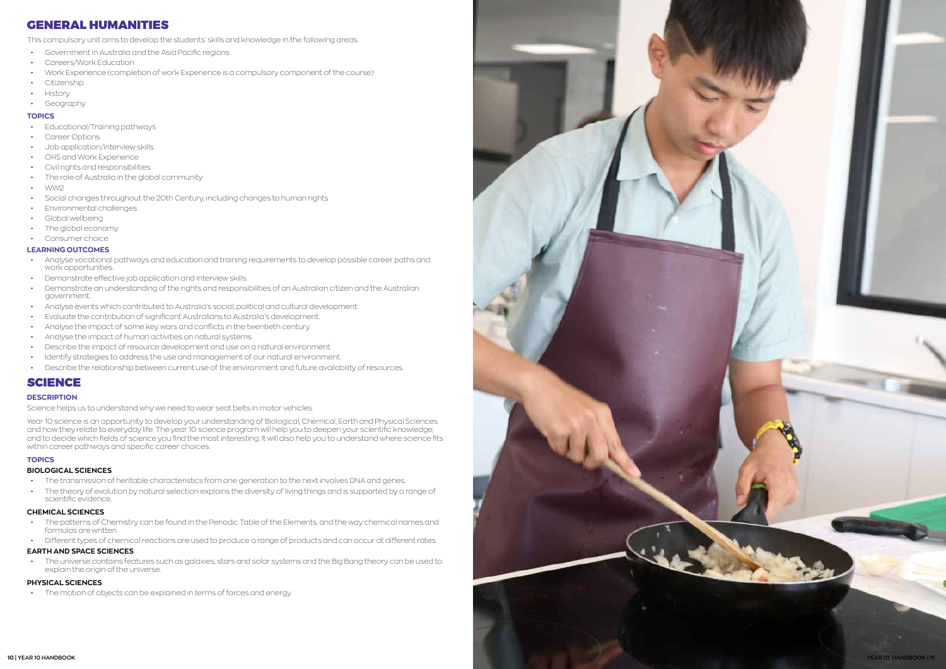# GENERAL HUMANITIES

This compulsory unit aims to develop the students' skills and knowledge in the following areas:<br>• Government in Australia and the Asia Pacific regions

- 
- Careers/Work Education
- Work Experience (completion of work Experience is a compulsory component of the course)
- Citizenship
- History
- Geography

#### **TOPICS**

- Educational/Training pathways
- Career Options
- Job application/interview skills
- OHS and Work Experience
- Civil rights and responsibilities
- The role of Australia in the global community
- WW2
- Social changes throughout the 20th Century, including changes to human rights
- Environmental challenges
- Global wellbeing
- The global economy
- Consumer choice

#### **LEARNING OUTCOMES**

- Analyse vocational pathways and education and training requirements to develop possible career paths and work opportunities.
- Demonstrate effective job application and interview skills.
- Demonstrate an understanding of the rights and responsibilities of an Australian citizen and the Australian government.
- Analyse events which contributed to Australia's social, political and cultural development.
- Evaluate the contribution of significant Australians to Australia's development.
- Analyse the impact of some key wars and conflicts in the twentieth century.
- Analyse the impact of human activities on natural systems.
- Describe the impact of resource development and use on a natural environment.
- Identify strategies to address the use and management of our natural environment.
- Describe the relationship between current use of the environment and future availability of resources.

# SCIENCE

#### **DESCRIPTION**

Science helps us to understand why we need to wear seat belts in motor vehicles.

Year 10 science is an opportunity to develop your understanding of Biological, Chemical, Earth and Physical Sciences and how they relate to everyday life. The year 10 science program will help you to deepen your scientific knowledge; and to decide which fields of science you find the most interesting. It will also help you to understand where science fits within career pathways and specific career choices.

### **TOPICS**

#### **BIOLOGICAL SCIENCES**

- The transmission of heritable characteristics from one generation to the next involves DNA and genes.
- The theory of evolution by natural selection explains the diversity of living things and is supported by a range of scientific evidence.

#### **CHEMICAL SCIENCES**

- The patterns of Chemistry can be found in the Periodic Table of the Elements, and the way chemical names and formulas are written.
- Different types of chemical reactions are used to produce a range of products and can occur at different rates.

### **EARTH AND SPACE SCIENCES**

• The universe contains features such as galaxies, stars and solar systems and the Big Bang theory can be used to explain the origin of the universe.

### **PHYSICAL SCIENCES**

• The motion of objects can be explained in terms of forces and energy

<span id="page-5-0"></span>![](_page_5_Picture_47.jpeg)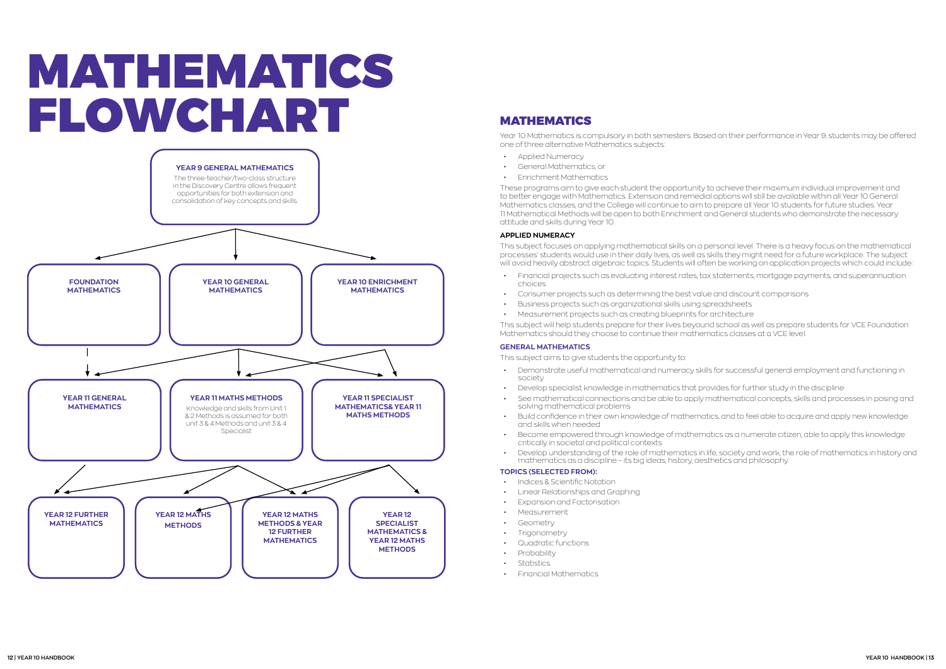# MATHEMATICS

Year 10 Mathematics is compulsory in both semesters. Based on their performance in Year 9, students may be offered one of three alternative Mathematics subjects:

- Applied Numeracy
- General Mathematics, or
- Enrichment Mathematics

These programs aim to give each student the opportunity to achieve their maximum individual improvement and to better engage with Mathematics. Extension and remedial options will still be available within all Year 10 General Mathematics classes, and the College will continue to aim to prepare all Year 10 students for future studies. Year 11 Mathematical Methods will be open to both Enrichment and General students who demonstrate the necessary attitude and skills during Year 10.

#### **APPLIED NUMERACY**

This subject focuses on applying mathematical skills on a personal level. There is a heavy focus on the mathematical processes' students would use in their daily lives, as well as skills they might need for a future workplace. The subject will avoid heavily abstract algebraic topics. Students will often be working on application projects which could include:

- Financial projects such as evaluating interest rates, tax statements, mortgage payments, and superannuation choices
- Consumer projects such as determining the best value and discount comparisons
- Business projects such as organizational skills using spreadsheets
- Measurement projects such as creating blueprints for architecture

This subject will help students prepare for their lives beyound school as well as prepare students for VCE Foundation Mathematics should they choose to continue their mathematics classes at a VCE level.

### **GENERAL MATHEMATICS**

This subject aims to give students the opportunity to:

- Demonstrate useful mathematical and numeracy skills for successful general employment and functioning in society
- Develop specialist knowledge in mathematics that provides for further study in the discipline
- See mathematical connections and be able to apply mathematical concepts, skills and processes in posing and solving mathematical problems
- Build confidence in their own knowledge of mathematics, and to feel able to acquire and apply new knowledge and skills when needed
- Become empowered through knowledge of mathematics as a numerate citizen, able to apply this knowledge critically in societal and political contexts
- mathematics as a discipline its big ideas, history, aesthetics and philosophy.

• Develop understanding of the role of mathematics in life, society and work, the role of mathematics in history and

#### **TOPICS (SELECTED FROM):**

- Indices & Scientific Notation
- Linear Relationships and Graphing
- Expansion and Factorisation
- Measurement
- **Geometry**
- **Trigonometry**
- Quadratic functions
- Probability
- Statistics
- Financial Mathematics

# <span id="page-6-0"></span>MATHEMATICS FLOWCHART

![](_page_6_Figure_1.jpeg)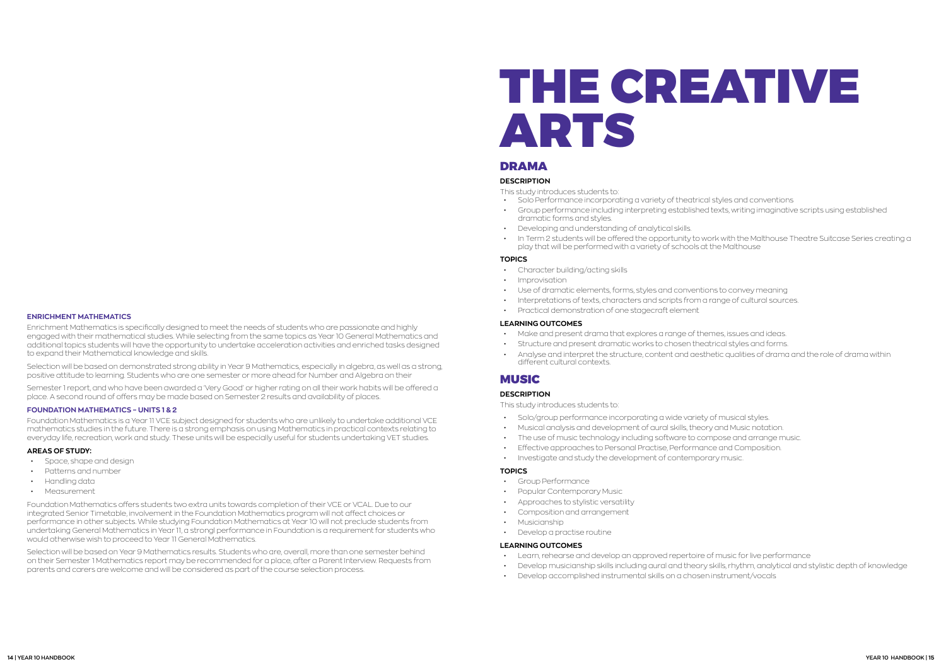# THE CREATIVE ARTS

### **DRAMA**

### **DESCRIPTION**

- This study introduces students to:
- Solo Performance incorporating a variety of theatrical styles and conventions • Group performance including interpreting established texts, writing imaginative scripts using established dramatic forms and styles.
- Developing and understanding of analytical skills.
- In Term 2 students will be offered the opportunity to work with the Malthouse Theatre Suitcase Series creating a play that will be performed with a variety of schools at the Malthouse

#### **TOPICS**

- Character building/acting skills
- Improvisation
- Use of dramatic elements, forms, styles and conventions to convey meaning
- Interpretations of texts, characters and scripts from a range of cultural sources.
- Practical demonstration of one stagecraft element

#### **LEARNING OUTCOMES**

- Make and present drama that explores a range of themes, issues and ideas.
- Structure and present dramatic works to chosen theatrical styles and forms. • Analyse and interpret the structure, content and aesthetic qualities of drama and the role of drama within different cultural contexts.

### **MUSIC**

#### **DESCRIPTION**

This study introduces students to:

- Solo/group performance incorporating a wide variety of musical styles.
- Musical analysis and development of aural skills, theory and Music notation.
- The use of music technology including software to compose and arrange music.
- Effective approaches to Personal Practise, Performance and Composition.
- Investigate and study the development of contemporary music.

#### **TOPICS**

- Group Performance
- Popular Contemporary Music
- Approaches to stylistic versatility
- Composition and arrangement
- Musicianship
- Develop a practise routine

#### **LEARNING OUTCOMES**

- Learn, rehearse and develop an approved repertoire of music for live performance
- 
- Develop accomplished instrumental skills on a chosen instrument/vocals

![](_page_7_Picture_49.jpeg)

• Develop musicianship skills including aural and theory skills, rhythm, analytical and stylistic depth of knowledge

#### <span id="page-7-0"></span>**ENRICHMENT MATHEMATICS**

Enrichment Mathematics is specifically designed to meet the needs of students who are passionate and highly engaged with their mathematical studies. While selecting from the same topics as Year 10 General Mathematics and additional topics students will have the opportunity to undertake acceleration activities and enriched tasks designed to expand their Mathematical knowledge and skills.

Selection will be based on demonstrated strong ability in Year 9 Mathematics, especially in algebra, as well as a strong, positive attitude to learning. Students who are one semester or more ahead for Number and Algebra on their

Semester 1 report, and who have been awarded a 'Very Good' or higher rating on all their work habits will be offered a place. A second round of offers may be made based on Semester 2 results and availability of places.

#### **FOUNDATION MATHEMATICS – UNITS 1 & 2**

Foundation Mathematics is a Year 11 VCE subject designed for students who are unlikely to undertake additional VCE mathematics studies in the future. There is a strong emphasis on using Mathematics in practical contexts relating to everyday life, recreation, work and study. These units will be especially useful for students undertaking VET studies.

#### **AREAS OF STUDY:**

- Space, shape and design
- Patterns and number
- Handling data
- Measurement

Foundation Mathematics offers students two extra units towards completion of their VCE or VCAL. Due to our integrated Senior Timetable, involvement in the Foundation Mathematics program will not affect choices or performance in other subjects. While studying Foundation Mathematics at Year 10 will not preclude students from undertaking General Mathematics in Year 11, a strongl performance in Foundation is a requirement for students who would otherwise wish to proceed to Year 11 General Mathematics.

Selection will be based on Year 9 Mathematics results. Students who are, overall, more than one semester behind on their Semester 1 Mathematics report may be recommended for a place, after a Parent Interview. Requests from parents and carers are welcome and will be considered as part of the course selection process.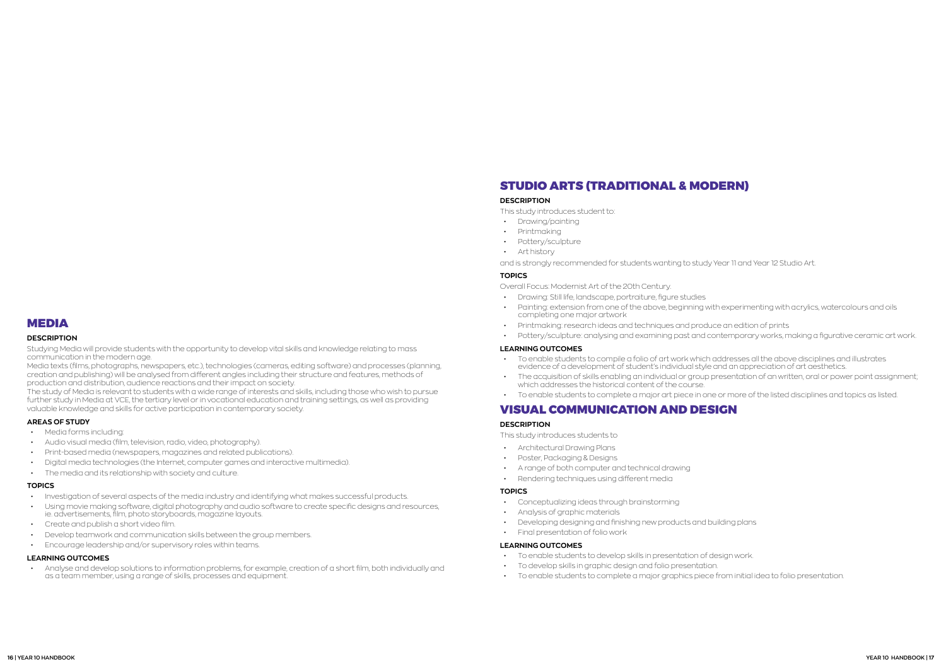## <span id="page-8-0"></span>MEDIA

#### **DESCRIPTION**

Studying Media will provide students with the opportunity to develop vital skills and knowledge relating to mass communication in the modern age.

Media texts (films, photographs, newspapers, etc.), technologies (cameras, editing software) and processes (planning, creation and publishing) will be analysed from different angles including their structure and features, methods of production and distribution, audience reactions and their impact on society.

The study of Media is relevant to students with a wide range of interests and skills, including those who wish to pursue further study in Media at VCE, the tertiary level or in vocational education and training settings, as well as providing valuable knowledge and skills for active participation in contemporary society.

#### **AREAS OF STUDY**

- Media forms including:
- Audio visual media (film, television, radio, video, photography).
- Print-based media (newspapers, magazines and related publications).
- Digital media technologies (the Internet, computer games and interactive multimedia).
- The media and its relationship with society and culture.

#### **TOPICS**

- Investigation of several aspects of the media industry and identifying what makes successful products.
- Using movie making software, digital photography and audio software to create specific designs and resources, ie. advertisements, film, photo storyboards, magazine layouts.
- Create and publish a short video film.
- Develop teamwork and communication skills between the group members.
- Encourage leadership and/or supervisory roles within teams.

#### **LEARNING OUTCOMES**

• Analyse and develop solutions to information problems, for example, creation of a short film, both individually and as a team member, using a range of skills, processes and equipment.

## STUDIO ARTS (TRADITIONAL & MODERN)

#### **DESCRIPTION**

This study introduces student to:

- Drawing/painting
- Printmaking
- Pottery/sculpture
- Art history
- and is strongly recommended for students wanting to study Year 11 and Year 12 Studio Art.

#### **TOPICS**

Overall Focus: Modernist Art of the 20th Century.

- Drawing: Still life, landscape, portraiture, figure studies
- Painting: extension from one of the above, beginning with experimenting with acrylics, watercolours and oils completing one major artwork
- Printmaking: research ideas and techniques and produce an edition of prints
- 

• Pottery/sculpture: analysing and examining past and contemporary works, making a figurative ceramic art work.

![](_page_8_Picture_67.jpeg)

#### **LEARNING OUTCOMES**

- To enable students to compile a folio of art work which addresses all the above disciplines and illustrates evidence of a development of student's individual style and an appreciation of art aesthetics.
- which addresses the historical content of the course.
- 

• To enable students to complete a major art piece in one or more of the listed disciplines and topics as listed.

The acquisition of skills enabling an individual or group presentation of an written, oral or power point assignment;

## VISUAL COMMUNICATION AND DESIGN

#### **DESCRIPTION**

This study introduces students to

- Architectural Drawing Plans
- Poster, Packaging & Designs
- A range of both computer and technical drawing
- Rendering techniques using different media

#### **TOPICS**

- Conceptualizing ideas through brainstorming
- Analysis of graphic materials
- Developing designing and finishing new products and building plans
- Final presentation of folio work

#### **LEARNING OUTCOMES**

- To enable students to develop skills in presentation of design work.
- To develop skills in graphic design and folio presentation.
- To enable students to complete a major graphics piece from initial idea to folio presentation.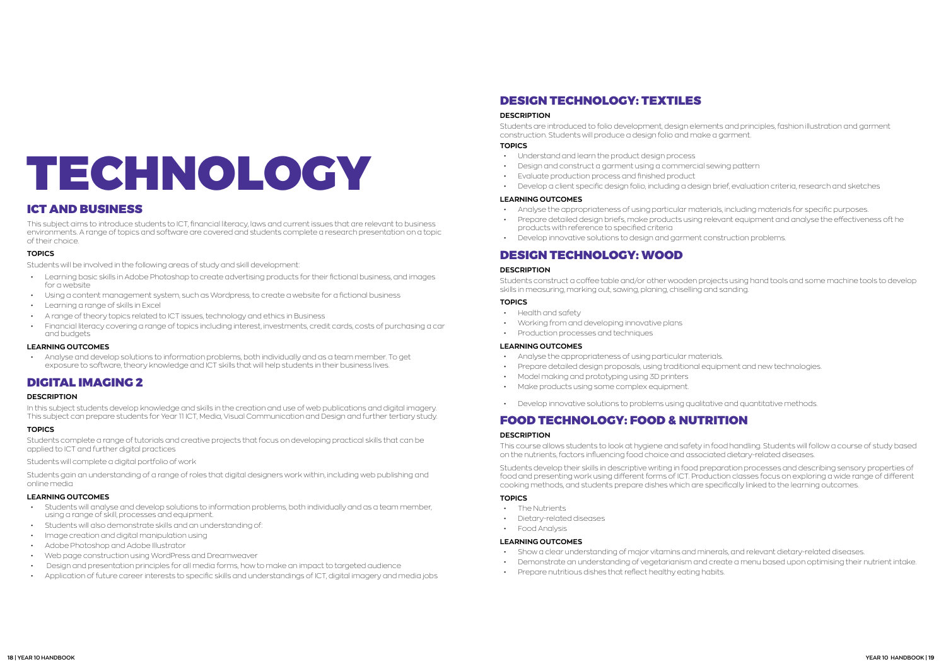# <span id="page-9-0"></span>TECHNOLOGY

# ICT AND BUSINESS

This subject aims to introduce students to ICT, financial literacy, laws and current issues that are relevant to business environments. A range of topics and software are covered and students complete a research presentation on a topic of their choice.

#### **TOPICS**

Students will be involved in the following areas of study and skill development:

- Learning basic skills in Adobe Photoshop to create advertising products for their fictional business, and images for a website
- Using a content management system, such as Wordpress, to create a website for a fictional business
- Learning a range of skills in Excel
- A range of theory topics related to ICT issues, technology and ethics in Business
- Financial literacy covering a range of topics including interest, investments, credit cards, costs of purchasing a car and budgets

#### **LEARNING OUTCOMES**

• Analyse and develop solutions to information problems, both individually and as a team member. To get exposure to software, theory knowledge and ICT skills that will help students in their business lives.

# DIGITAL IMAGING 2

#### **DESCRIPTION**

In this subject students develop knowledge and skills in the creation and use of web publications and digital imagery. This subject can prepare students for Year 11 ICT, Media, Visual Communication and Design and further tertiary study.

#### **TOPICS**

Students complete a range of tutorials and creative projects that focus on developing practical skills that can be applied to ICT and further digital practices

Students will complete a digital portfolio of work

Students gain an understanding of a range of roles that digital designers work within, including web publishing and online media

#### **LEARNING OUTCOMES**

- Students will analyse and develop solutions to information problems, both individually and as a team member, using a range of skill, processes and equipment.
- Students will also demonstrate skills and an understanding of:
- Image creation and digital manipulation using
- Adobe Photoshop and Adobe Illustrator
- Web page construction using WordPress and Dreamweaver
- Design and presentation principles for all media forms, how to make an impact to targeted audience
- Application of future career interests to specific skills and understandings of ICT, digital imagery and media jobs

# DESIGN TECHNOLOGY: TEXTILES

#### **DESCRIPTION**

Students are introduced to folio development, design elements and principles, fashion illustration and garment construction. Students will produce a design folio and make a garment. **TOPICS**

- 
- Understand and learn the product design process
- Design and construct a garment using a commercial sewing pattern
- Evaluate production process and finished product
- 

• Develop a client specific design folio, including a design brief, evaluation criteria, research and sketches

#### **LEARNING OUTCOMES**

- Analyse the appropriateness of using particular materials, including materials for specific purposes.
- Prepare detailed design briefs, make products using relevant equipment and analyse the effectiveness oft he products with reference to specified criteria
- Develop innovative solutions to design and garment construction problems.

# DESIGN TECHNOLOGY: WOOD

#### **DESCRIPTION**

Students construct a coffee table and/or other wooden projects using hand tools and some machine tools to develop skills in measuring, marking out, sawing, planing, chiselling and sanding.

#### **TOPICS**

- Health and safety
- Working from and developing innovative plans
- Production processes and techniques

#### **LEARNING OUTCOMES**

- Analyse the appropriateness of using particular materials.
- Prepare detailed design proposals, using traditional equipment and new technologies.
- Model making and prototyping using 3D printers
- Make products using some complex equipment.
- Develop innovative solutions to problems using qualitative and quantitative methods.

# FOOD TECHNOLOGY: FOOD & NUTRITION

#### **DESCRIPTION**

This course allows students to look at hygiene and safety in food handling. Students will follow a course of study based on the nutrients, factors influencing food choice and associated dietary-related diseases.

Students develop their skills in descriptive writing in food preparation processes and describing sensory properties of food and presenting work using different forms of ICT. Production classes focus on exploring a wide range of different cooking methods, and students prepare dishes which are specifically linked to the learning outcomes.

#### **TOPICS**

- The Nutrients
- Dietary-related diseases
- Food Analysis

#### **LEARNING OUTCOMES**

- Show a clear understanding of major vitamins and minerals, and relevant dietary-related diseases.
- 
- Prepare nutritious dishes that reflect healthy eating habits.

• Demonstrate an understanding of vegetarianism and create a menu based upon optimising their nutrient intake.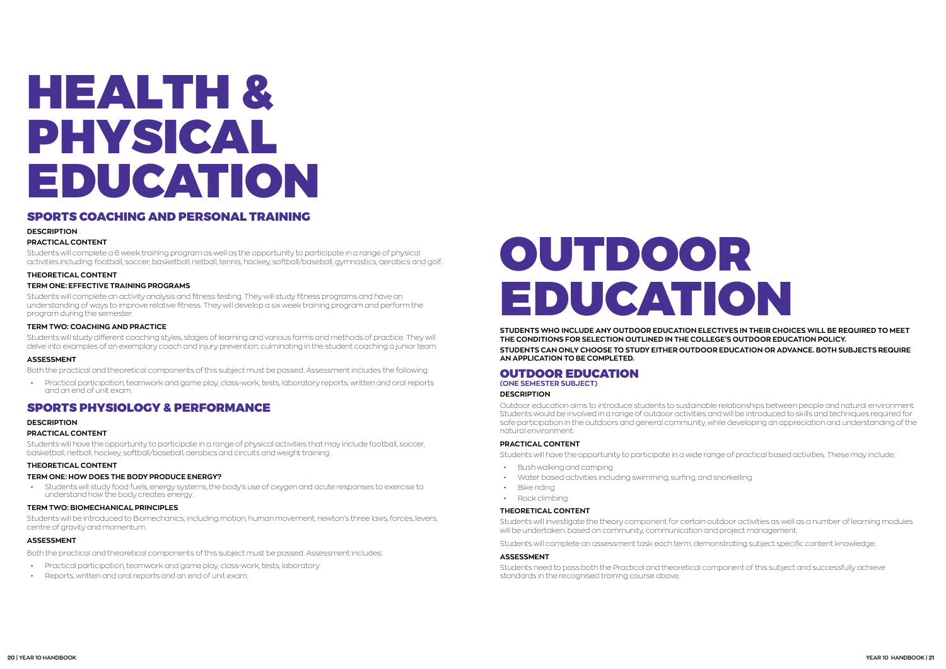# <span id="page-10-0"></span>HEALTH & PHYSICAL EDUCATION

## SPORTS COACHING AND PERSONAL TRAINING

#### **DESCRIPTION**

#### **PRACTICAL CONTENT**

Students will complete a 6 week training program as well as the opportunity to participate in a range of physical activities including: football, soccer, basketball, netball, tennis, hockey, softball/baseball, gymnastics, aerobics and golf.

#### **THEORETICAL CONTENT**

#### **TERM ONE: EFFECTIVE TRAINING PROGRAMS**

Students will complete an activity analysis and fitness testing. They will study fitness programs and have an understanding of ways to improve relative fitness. They will develop a six week training program and perform the program during the semester.

#### **TERM TWO: COACHING AND PRACTICE**

Students will study different coaching styles, stages of learning and various forms and methods of practice. They will delve into examples of an exemplary coach and injury prevention, culminating in the student coaching a junior team.

#### **ASSESSMENT**

Both the practical and theoretical components of this subject must be passed. Assessment includes the following:

• Practical participation, teamwork and game play, class-work, tests, laboratory reports, written and oral reports and an end of unit exam.

## SPORTS PHYSIOLOGY & PERFORMANCE

#### **DESCRIPTION**

#### **PRACTICAL CONTENT**

Students will have the opportunity to participate in a range of physical activities that may include football, soccer, basketball, netball, hockey, softball/baseball, aerobics and circuits and weight training.

#### **THEORETICAL CONTENT**

#### **TERM ONE: HOW DOES THE BODY PRODUCE ENERGY?**

• Students will study food fuels, energy systems, the body's use of oxygen and acute responses to exercise to understand how the body creates energy.

#### **TERM TWO: BIOMECHANICAL PRINCIPLES**

Students will be introduced to Biomechanics; including motion, human movement, newton's three laws, forces, levers, centre of gravity and momentum.

#### **ASSESSMENT**

Both the practical and theoretical components of this subject must be passed. Assessment includes:

- Practical participation, teamwork and game play, class-work, tests, laboratory.
- Reports, written and oral reports and an end of unit exam.

# OUTDOOR EDUCATION

**STUDENTS WHO INCLUDE ANY OUTDOOR EDUCATION ELECTIVES IN THEIR CHOICES WILL BE REQUIRED TO MEET THE CONDITIONS FOR SELECTION OUTLINED IN THE COLLEGE'S OUTDOOR EDUCATION POLICY. STUDENTS CAN ONLY CHOOSE TO STUDY EITHER OUTDOOR EDUCATION OR ADVANCE. BOTH SUBJECTS REQUIRE AN APPLICATION TO BE COMPLETED.**

### OUTDOOR EDUCATION

**(ONE SEMESTER SUBJECT)**

#### **DESCRIPTION**

Outdoor education aims to introduce students to sustainable relationships between people and natural environment. Students would be involved in a range of outdoor activities and will be introduced to skills and techniques required for safe participation in the outdoors and general community, while developing an appreciation and understanding of the natural environment.

#### **PRACTICAL CONTENT**

Students will have the opportunity to participate in a wide range of practical based activities. These may include:

- Bush walking and camping
- Water based activities including swimming, surfing, and snorkelling
- Bike riding
- Rock climbing

#### **THEORETICAL CONTENT**

Students will investigate the theory component for certain outdoor activities as well as a number of learning modules will be undertaken, based on community, communication and project management.

Students will complete an assessment task each term, demonstrating subject specific content knowledge.

#### **ASSESSMENT**

Students need to pass both the Practical and theoretical component of this subject and successfully achieve standards in the recognised training course above.

![](_page_10_Picture_44.jpeg)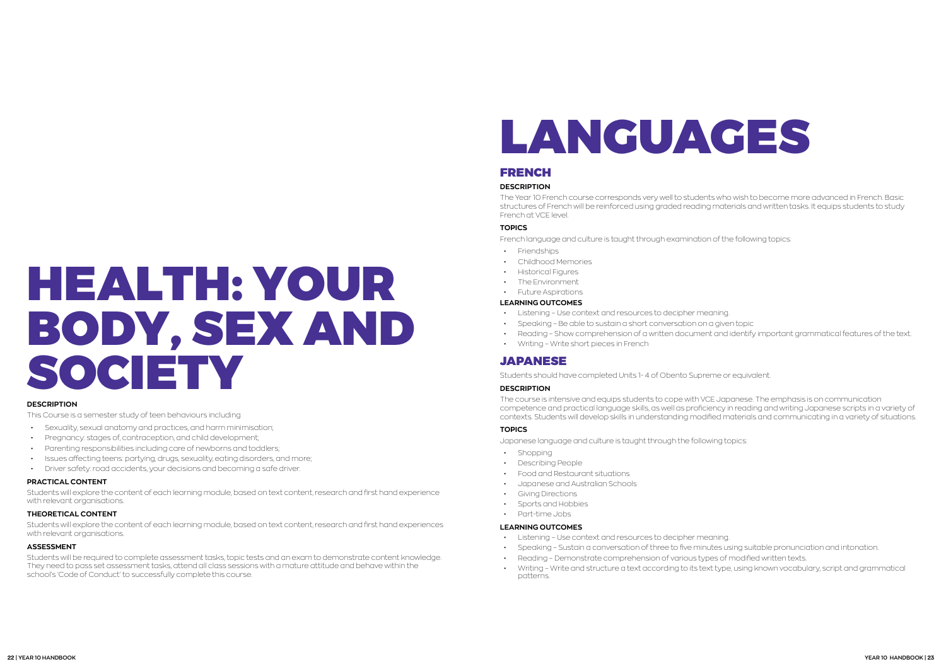# <span id="page-11-0"></span>HEALTH: YOUR BODY, SEX AND SOCIETY

#### **DESCRIPTION**

This Course is a semester study of teen behaviours including

- Sexuality, sexual anatomy and practices, and harm minimisation;
- Pregnancy: stages of, contraception, and child development;
- Parenting responsibilities including care of newborns and toddlers;
- Issues affecting teens: partying, drugs, sexuality, eating disorders, and more;
- Driver safety: road accidents, your decisions and becoming a safe driver.

#### **PRACTICAL CONTENT**

Students will explore the content of each learning module, based on text content, research and first hand experience with relevant organisations.

#### **THEORETICAL CONTENT**

Students will explore the content of each learning module, based on text content, research and first hand experiences with relevant organisations.

### **ASSESSMENT**

Students will be required to complete assessment tasks, topic tests and an exam to demonstrate content knowledge. They need to pass set assessment tasks, attend all class sessions with a mature attitude and behave within the school's 'Code of Conduct' to successfully complete this course.

# LANGUAGES

# FRENCH

### **DESCRIPTION**

- Shopping
- Describing People
- Food and Restaurant situations
- Japanese and Australian Schools
- **Giving Directions**
- Sports and Hobbies
- Part-time Jobs

The Year 10 French course corresponds very well to students who wish to become more advanced in French. Basic structures of French will be reinforced using graded reading materials and written tasks. It equips students to study French at VCE level.

### **TOPICS**

French language and culture is taught through examination of the following topics:

- Friendships
- Childhood Memories
- Historical Figures
- The Environment
- Future Aspirations

### **LEARNING OUTCOMES**

- Listening Use context and resources to decipher meaning.
- Speaking Be able to sustain a short conversation on a given topic
- 
- Writing Write short pieces in French

# **JAPANESE**

• Reading – Show comprehension of a written document and identify important grammatical features of the text.

Students should have completed Units 1- 4 of Obento Supreme or equivalent.

### **DESCRIPTION**

The course is intensive and equips students to cope with VCE Japanese. The emphasis is on communication competence and practical language skills, as well as proficiency in reading and writing Japanese scripts in a variety of contexts. Students will develop skills in understanding modified materials and communicating in a variety of situations.

### **TOPICS**

Japanese language and culture is taught through the following topics:

### **LEARNING OUTCOMES**

• Speaking – Sustain a conversation of three to five minutes using suitable pronunciation and intonation.

- Listening Use context and resources to decipher meaning.
- 
- Reading Demonstrate comprehension of various types of modified written texts.
- patterns.

![](_page_11_Picture_49.jpeg)

• Writing – Write and structure a text according to its text type, using known vocabulary, script and grammatical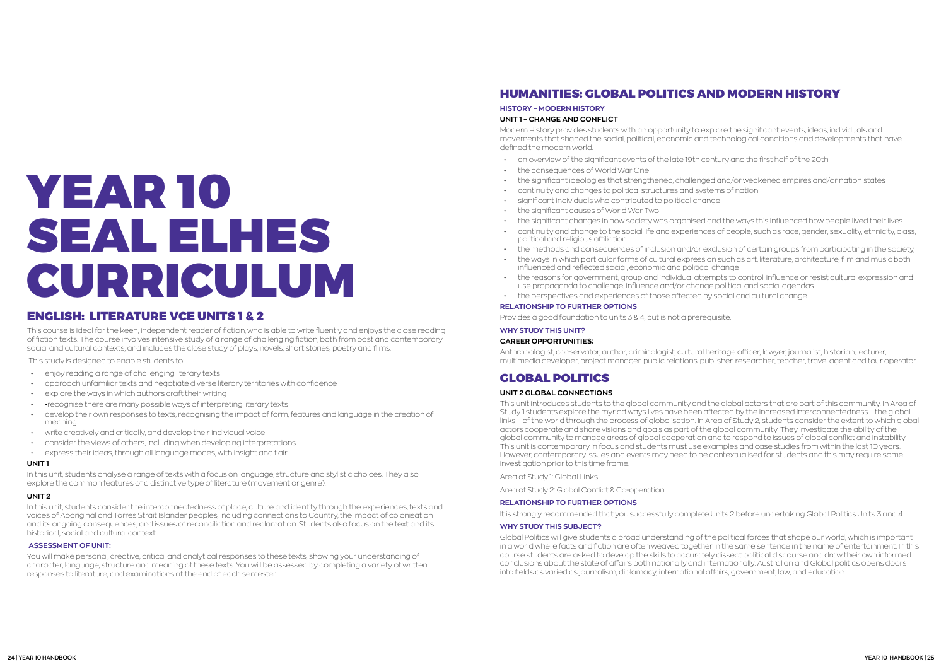# <span id="page-12-0"></span>YEAR 10 SEAL ELHES CURRICULUM

# ENGLISH: LITERATURE VCE UNITS 1 & 2

- enjoy reading a range of challenging literary texts
- approach unfamiliar texts and negotiate diverse literary territories with confidence
- explore the ways in which authors craft their writing
- •recognise there are many possible ways of interpreting literary texts
- develop their own responses to texts, recognising the impact of form, features and language in the creation of meaning
- write creatively and critically, and develop their individual voice
- consider the views of others, including when developing interpretations
- express their ideas, through all language modes, with insight and flair.

This course is ideal for the keen, independent reader of fiction, who is able to write fluently and enjoys the close reading of fiction texts. The course involves intensive study of a range of challenging fiction, both from past and contemporary social and cultural contexts, and includes the close study of plays, novels, short stories, poetry and films.

This study is designed to enable students to:

#### **UNIT 1**

In this unit, students analyse a range of texts with a focus on language, structure and stylistic choices. They also explore the common features of a distinctive type of literature (movement or genre).

#### **UNIT 2**

In this unit, students consider the interconnectedness of place, culture and identity through the experiences, texts and voices of Aboriginal and Torres Strait Islander peoples, including connections to Country, the impact of colonisation and its ongoing consequences, and issues of reconciliation and reclamation. Students also focus on the text and its historical, social and cultural context.

#### **ASSESSMENT OF UNIT:**

You will make personal, creative, critical and analytical responses to these texts, showing your understanding of character, language, structure and meaning of these texts. You will be assessed by completing a variety of written responses to literature, and examinations at the end of each semester.

# HUMANITIES: GLOBAL POLITICS AND MODERN HISTORY

## **HISTORY – MODERN HISTORY**

#### **UNIT 1 – CHANGE AND CONFLICT**

Modern History provides students with an opportunity to explore the significant events, ideas, individuals and movements that shaped the social, political, economic and technological conditions and developments that have defined the modern world.

• the significant changes in how society was organised and the ways this influenced how people lived their lives • continuity and change to the social life and experiences of people, such as race, gender, sexuality, ethnicity, class,

- an overview of the significant events of the late 19th century and the first half of the 20th
- the consequences of World War One
- the significant ideologies that strengthened, challenged and/or weakened empires and/or nation states
- continuity and changes to political structures and systems of nation
- significant individuals who contributed to political change
- the significant causes of World War Two
- 
- political and religious affiliation
- 
- the ways in which particular forms of cultural expression such as art, literature, architecture, film and music both influenced and reflected social, economic and political change
- use propaganda to challenge, influence and/or change political and social agendas
- the perspectives and experiences of those affected by social and cultural change

• the methods and consequences of inclusion and/or exclusion of certain groups from participating in the society,

• the reasons for government, group and individual attempts to control, influence or resist cultural expression and

#### **RELATIONSHIP TO FURTHER OPTIONS**

Provides a good foundation to units 3 & 4, but is not a prerequisite.

## **WHY STUDY THIS UNIT?**

#### **CAREER OPPORTUNITIES:**

Anthropologist, conservator, author, criminologist, cultural heritage officer, lawyer, journalist, historian, lecturer, multimedia developer, project manager, public relations, publisher, researcher, teacher, travel agent and tour operator

## GLOBAL POLITICS

#### **UNIT 2 GLOBAL CONNECTIONS**

This unit introduces students to the global community and the global actors that are part of this community. In Area of Study 1 students explore the myriad ways lives have been affected by the increased interconnectedness – the global links – of the world through the process of globalisation. In Area of Study 2, students consider the extent to which global actors cooperate and share visions and goals as part of the global community. They investigate the ability of the global community to manage areas of global cooperation and to respond to issues of global conflict and instability. This unit is contemporary in focus and students must use examples and case studies from within the last 10 years. However, contemporary issues and events may need to be contextualised for students and this may require some investigation prior to this time frame.

Area of Study 1: Global Links

Area of Study 2: Global Conflict & Co-operation

#### **RELATIONSHIP TO FURTHER OPTIONS**

It is strongly recommended that you successfully complete Units 2 before undertaking Global Politics Units 3 and 4.

#### **WHY STUDY THIS SUBJECT?**

Global Politics will give students a broad understanding of the political forces that shape our world, which is important in a world where facts and fiction are often weaved together in the same sentence in the name of entertainment. In this course students are asked to develop the skills to accurately dissect political discourse and draw their own informed conclusions about the state of affairs both nationally and internationally. Australian and Global politics opens doors into fields as varied as journalism, diplomacy, international affairs, government, law, and education.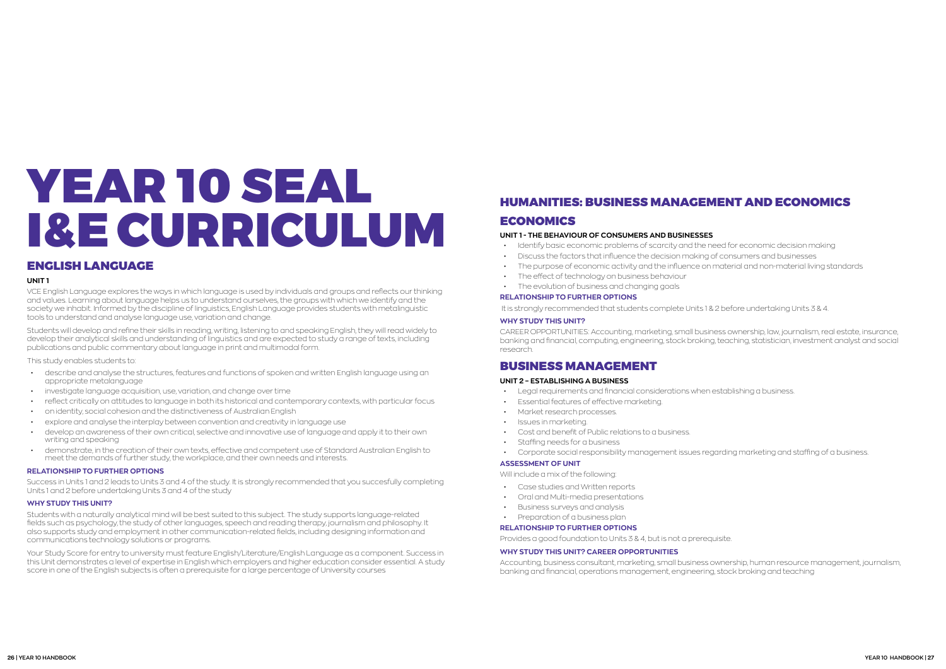# <span id="page-13-0"></span>YEAR 10 SEAL I&E CURRICULUM

# ENGLISH LANGUAGE

#### **UNIT 1**

VCE English Language explores the ways in which language is used by individuals and groups and reflects our thinking and values. Learning about language helps us to understand ourselves, the groups with which we identify and the society we inhabit. Informed by the discipline of linguistics, English Language provides students with metalinguistic tools to understand and analyse language use, variation and change.

Students will develop and refine their skills in reading, writing, listening to and speaking English, they will read widely to develop their analytical skills and understanding of linguistics and are expected to study a range of texts, including publications and public commentary about language in print and multimodal form.

This study enables students to:

- describe and analyse the structures, features and functions of spoken and written English language using an appropriate metalanguage
- investigate language acquisition, use, variation, and change over time
- reflect critically on attitudes to language in both its historical and contemporary contexts, with particular focus
- on identity, social cohesion and the distinctiveness of Australian English
- explore and analyse the interplay between convention and creativity in language use
- develop an awareness of their own critical, selective and innovative use of language and apply it to their own writing and speaking
- demonstrate, in the creation of their own texts, effective and competent use of Standard Australian English to meet the demands of further study, the workplace, and their own needs and interests.

#### **RELATIONSHIP TO FURTHER OPTIONS**

Success in Units 1 and 2 leads to Units 3 and 4 of the study. It is strongly recommended that you succesfully completing Units 1 and 2 before undertaking Units 3 and 4 of the study

#### **WHY STUDY THIS UNIT?**

Students with a naturally analytical mind will be best suited to this subject. The study supports language-related fields such as psychology, the study of other languages, speech and reading therapy, journalism and philosophy. It also supports study and employment in other communication-related fields, including designing information and communications technology solutions or programs.

Your Study Score for entry to university must feature English/Literature/English Language as a component. Success in this Unit demonstrates a level of expertise in English which employers and higher education consider essential. A study score in one of the English subjects is often a prerequisite for a large percentage of University courses

# HUMANITIES: BUSINESS MANAGEMENT AND ECONOMICS

### **ECONOMICS**

#### **UNIT 1 - THE BEHAVIOUR OF CONSUMERS AND BUSINESSES**

- Identify basic economic problems of scarcity and the need for economic decision making
- Discuss the factors that influence the decision making of consumers and businesses
- The purpose of economic activity and the influence on material and non-material living standards
- The effect of technology on business behaviour
- The evolution of business and changing goals

#### **RELATIONSHIP TO FURTHER OPTIONS**

It is strongly recommended that students complete Units 1 & 2 before undertaking Units 3 & 4.

#### **WHY STUDY THIS UNIT?**

CAREER OPPORTUNITIES: Accounting, marketing, small business ownership, law, journalism, real estate, insurance, banking and financial, computing, engineering, stock broking, teaching, statistician, investment analyst and social research.

## BUSINESS MANAGEMENT

#### **UNIT 2 – ESTABLISHING A BUSINESS**

- Legal requirements and financial considerations when establishing a business.
- Essential features of effective marketing.
- Market research processes.
- Issues in marketing.
- Cost and benefit of Public relations to a business.
- Staffing needs for a business
- Corporate social responsibility management issues regarding marketing and staffing of a business.

#### **ASSESSMENT OF UNIT**

Will include a mix of the following:

- Case studies and Written reports
- Oral and Multi-media presentations
- Business surveys and analysis
- Preparation of a business plan

#### **RELATIONSHIP TO FURTHER OPTIONS**

Provides a good foundation to Units 3 & 4, but is not a prerequisite.

#### **WHY STUDY THIS UNIT? CAREER OPPORTUNITIES**

Accounting, business consultant, marketing, small business ownership, human resource management, journalism, banking and financial, operations management, engineering, stock broking and teaching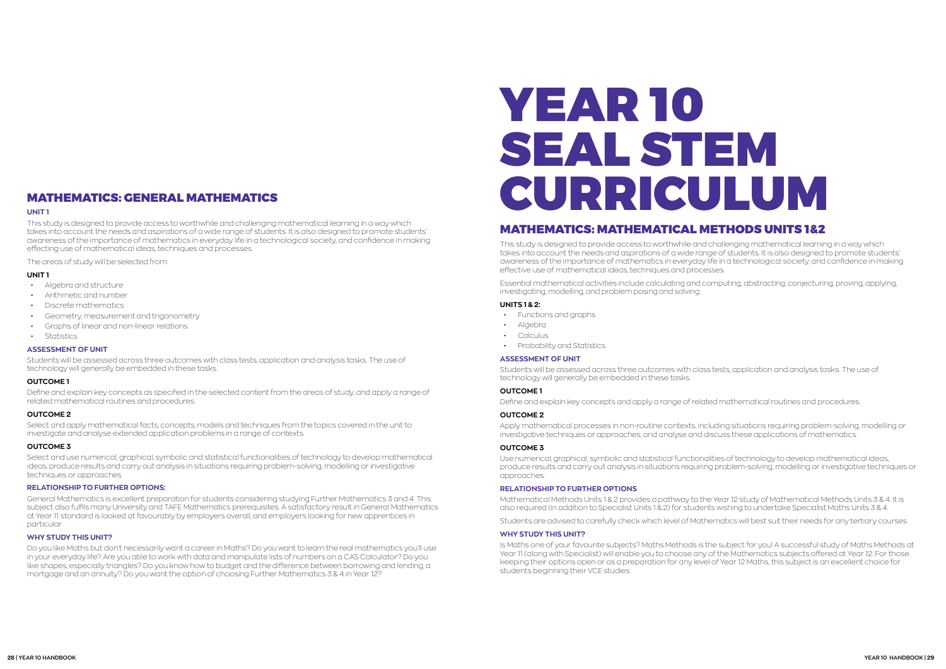## <span id="page-14-0"></span>MATHEMATICS: GENERAL MATHEMATICS

#### **UNIT 1**

This study is designed to provide access to worthwhile and challenging mathematical learning in a way which takes into account the needs and aspirations of a wide range of students. It is also designed to promote students' awareness of the importance of mathematics in everyday life in a technological society, and confidence in making effecting use of mathematical ideas, techniques and processes.

The areas of study will be selected from:

#### **UNIT 1**

- Algebra and structure
- Arithmetic and number
- Discrete mathematics
- Geometry, measurement and trigonometry
- Graphs of linear and non-linear relations
- Statistics

#### **ASSESSMENT OF UNIT**

Students will be assessed across three outcomes with class tests, application and analysis tasks. The use of technology will generally be embedded in these tasks.

#### **OUTCOME 1**

Define and explain key concepts as specified in the selected content from the areas of study, and apply a range of related mathematical routines and procedures.

#### **OUTCOME 2**

Select and apply mathematical facts, concepts, models and techniques from the topics covered in the unit to investigate and analyse extended application problems in a range of contexts.

#### **OUTCOME 3**

Select and use numerical, graphical, symbolic and statistical functionalities of technology to develop mathematical ideas, produce results and carry out analysis in situations requiring problem-solving, modelling or investigative techniques or approaches.

#### **RELATIONSHIP TO FURTHER OPTIONS:**

General Mathematics is excellent preparation for students considering studying Further Mathematics 3 and 4. This subject also fulfils many University and TAFE Mathematics prerequisites. A satisfactory result in General Mathematics at Year 11 standard is looked at favourably by employers overall, and employers looking for new apprentices in particular.

#### **WHY STUDY THIS UNIT?**

Mathematical Methods Units 1 & 2 provides a pathway to the Year 12 study of Mathematical Methods Units 3 & 4. It is also required (in addition to Specialist Units 1 & 2) for students wishing to undertake Specialist Maths Units 3 & 4.

Do you like Maths but don't necessarily want a career in Maths? Do you want to learn the real mathematics you'll use in your everyday life? Are you able to work with data and manipulate lists of numbers on a CAS Calculator? Do you like shapes, especially triangles? Do you know how to budget and the difference between borrowing and lending, a mortgage and an annuity? Do you want the option of choosing Further Mathematics 3 & 4 in Year 12?

# YEAR 10 SEAL STEM CURRICULUM

# MATHEMATICS: MATHEMATICAL METHODS UNITS 1&2

This study is designed to provide access to worthwhile and challenging mathematical learning in a way which takes into account the needs and aspirations of a wide range of students. It is also designed to promote students' awareness of the importance of mathematics in everyday life in a technological society, and confidence in making effective use of mathematical ideas, techniques and processes.

Essential mathematical activities include calculating and computing, abstracting, conjecturing, proving, applying, investigating, modelling, and problem posing and solving.

#### **UNITS 1 & 2:**

- Functions and graphs
- Algebra
- **Calculus**
- Probability and Statistics

#### **ASSESSMENT OF UNIT**

Students will be assessed across three outcomes with class tests, application and analysis tasks. The use of technology will generally be embedded in these tasks.

#### **OUTCOME 1**

Define and explain key concepts and apply a range of related mathematical routines and procedures.

#### **OUTCOME 2**

Apply mathematical processes in non-routine contexts, including situations requiring problem-solving, modelling or investigative techniques or approaches, and analyse and discuss these applications of mathematics.

#### **OUTCOME 3**

Use numerical, graphical, symbolic and statistical functionalities of technology to develop mathematical ideas, produce results and carry out analysis in situations requiring problem-solving, modelling or investigative techniques or approaches.

#### **RELATIONSHIP TO FURTHER OPTIONS**

Students are advised to carefully check which level of Mathematics will best suit their needs for any tertiary courses.

#### **WHY STUDY THIS UNIT?**

Is Maths one of your favourite subjects? Maths Methods is the subject for you! A successful study of Maths Methods at Year 11 (along with Specialist) will enable you to choose any of the Mathematics subjects offered at Year 12. For those keeping their options open or as a preparation for any level of Year 12 Maths, this subject is an excellent choice for students beginning their VCE studies.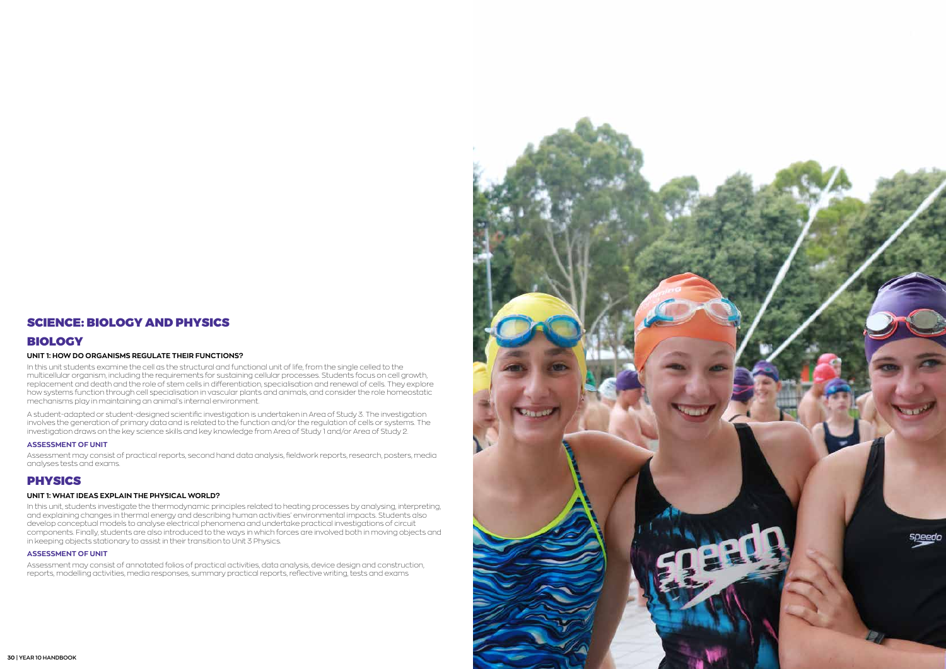## SCIENCE: BIOLOGY AND PHYSICS

## BIOLOGY

#### **UNIT 1: HOW DO ORGANISMS REGULATE THEIR FUNCTIONS?**

In this unit students examine the cell as the structural and functional unit of life, from the single celled to the multicellular organism, including the requirements for sustaining cellular processes. Students focus on cell growth, replacement and death and the role of stem cells in differentiation, specialisation and renewal of cells. They explore how systems function through cell specialisation in vascular plants and animals, and consider the role homeostatic mechanisms play in maintaining an animal's internal environment.

A student-adapted or student-designed scientific investigation is undertaken in Area of Study 3. The investigation involves the generation of primary data and is related to the function and/or the regulation of cells or systems. The investigation draws on the key science skills and key knowledge from Area of Study 1 and/or Area of Study 2.

#### **ASSESSMENT OF UNIT**

Assessment may consist of practical reports, second hand data analysis, fieldwork reports, research, posters, media analyses tests and exams.

## **PHYSICS**

#### **UNIT 1: WHAT IDEAS EXPLAIN THE PHYSICAL WORLD?**

In this unit, students investigate the thermodynamic principles related to heating processes by analysing, interpreting, and explaining changes in thermal energy and describing human activities' environmental impacts. Students also develop conceptual models to analyse electrical phenomena and undertake practical investigations of circuit components. Finally, students are also introduced to the ways in which forces are involved both in moving objects and in keeping objects stationary to assist in their transition to Unit 3 Physics.

#### **ASSESSMENT OF UNIT**

Assessment may consist of annotated folios of practical activities, data analysis, device design and construction, reports, modelling activities, media responses, summary practical reports, reflective writing, tests and exams

<span id="page-15-0"></span>![](_page_15_Picture_12.jpeg)